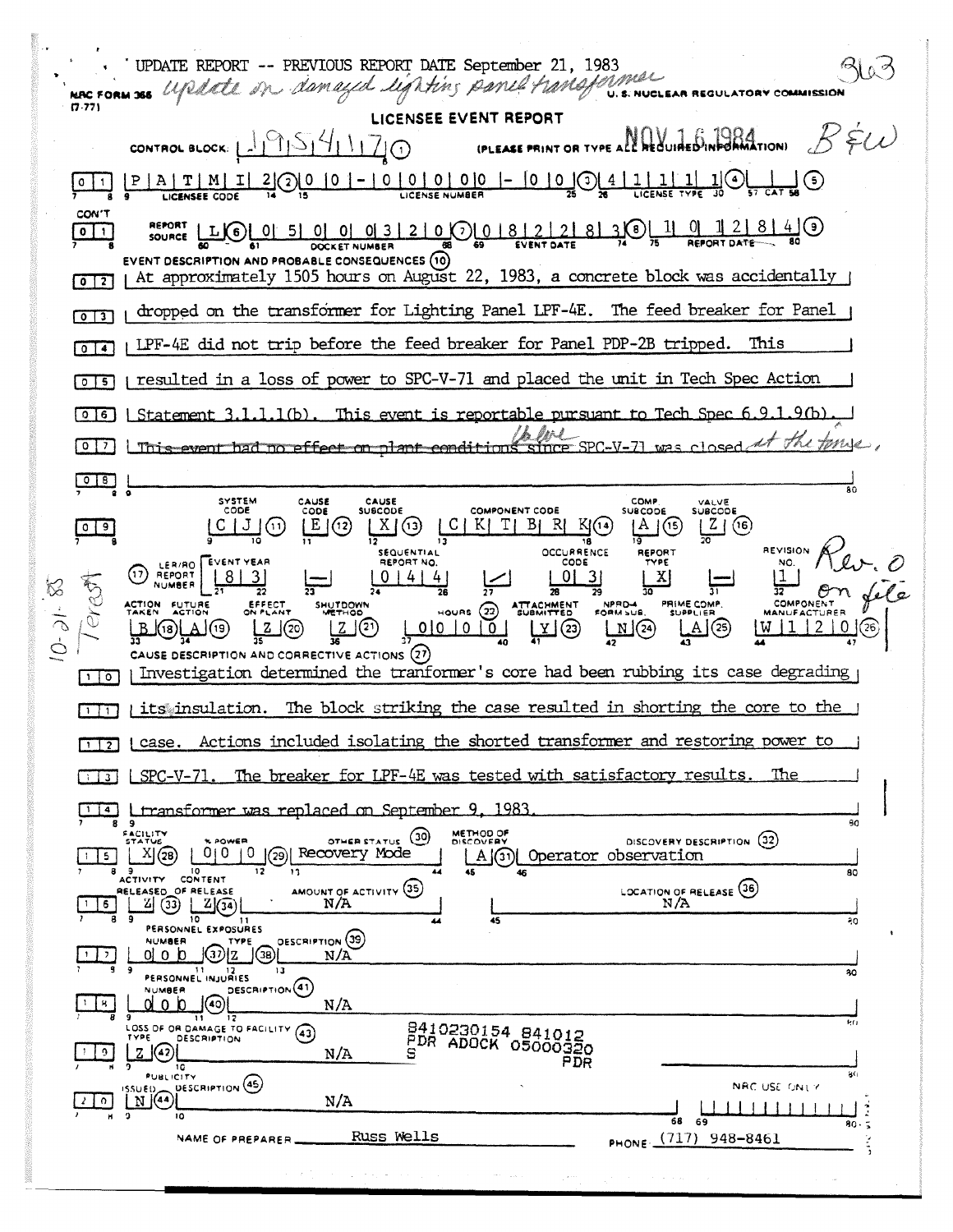UPDATE REPORT -- PREVIOUS REPORT DATE September 21, 1983  $10<sub>o</sub>$ update on damaged lighting panel transformer .<br>U. S. NUCLEAR REGULATORY COMMISSIO MAC FORM 366  $(7.77)$ LICENSEE EVEN NAV 16 ARRESTANT OR TYPE ALL REQUIRED INPORMATION  $R$  &(i) CONTROL BLOCK: LITTIST41170 <u> 1</u>10  $- 0 0 0 0 0$  - 0 0 0  $- 0$   $\frac{10}{2}$  $\frac{1}{\sqrt{\frac{1}{\sqrt{\frac{1}{\sqrt{\epsilon}}}}}}$ <u>್ಷ (5</u> T | <u>500 10 1</u>  $0$  | 1 CON'T  $\overline{\mathbf{O}}$ EVENT DESCRIPTION AND PROBABLE CONSEQUENCES (10) At approximately 1505 hours on August 22, 1983, a concrete block was accidentally  $\sqrt{2}$ dropped on the transformer for Lighting Panel LPF-4E. The feed breaker for Panel  $\sqrt{2}$ LPF-4E did not trip before the feed breaker for Panel PDP-2B tripped. This  $\sqrt{0}$   $\sqrt{4}$ I resulted in a loss of power to SPC-V-71 and placed the unit in Tech Spec Action ािड Statement  $3.1.1.1(b)$ . This event is reportable pursuant to Tech Spec 6.9.1  $9<sub>th</sub>$  $016$ en 1 <u>I This event had no effect on plant conditions</u>  $\begin{array}{c|c}\n\hline\n0 & B & B \\
\hline\n\end{array}$ SYSTEM<br>CODE CAUSE<br>CODE CAUSE<br>SUBCODE COMP VALVE<br>SUBCODE COMPONENT CODE **SUBCODE**  $|C|$  $09$  $|C|J|$   $\cap$  $\lfloor X \rfloor$ (13)  $K[T|B|R]$  $K(14)$  $A(5)$ | E |(12)  $|Z|(6)$ 18 REVISION **OCCURRENCE** SEQUENTIAL REPORT EVENT YEAR REPORT NO CODE NO. LEB/RO.  $\odot$ REPORT  $|8|$  $\vert$ 3  $0 | 4 | 4$  $01$  $\overline{3}$ X  $1$ E)<br>C  $\overline{\mathbf{u}}$ COMPONENT ACTION<br>TAKEN **FUTURE**<br>ACTION **SHUTDOWN** PRIME COMP  $10-31-$ HOURS (22)  $\mathbb{Q}$  $\boxed{\mathbb{N}}$ (24) ΙZ  $0|0|0|0|$ प्त (ग्र  $\vert$   $(21)$  $(23)$  $\triangle$  (25) (18)) CAUSE DESCRIPTION AND CORRECTIVE ACTIONS (27) Investigation determined the tranformer's core had been rubbing its case degrading  $\lceil \cdot \rceil$ o I its insulation. The block striking the case resulted in shorting the core to the  $\overline{1}$ I case. Actions included isolating the shorted transformer and restoring power to  $\sqrt{12}$ The breaker for LPF-4E was tested with satisfactory results. The  $\begin{array}{|c|c|c|}\n\hline\n1 & 3\n\end{array}$  $SPC-V-71$ . transformer was replaced on September 9, 1983  $114$ FACILITY METHOD OF DISCOVERY DESCRIPTION (32)  $\underline{X}(\mathfrak{B})$  $\overline{5}$ Operator observation  $\lfloor$ A $\rfloor$ (31) $\lfloor$ ACTIVITY CONTENT  $\overline{50}$ AMOUNT OF ACTIVITY (35) LOCATION OF RELEASE (36) RELEASED OF RELEASE  $2(3) 2(3)$  $N/A$  $N/A$  $\frac{1}{6}$ 10  $\overline{45}$ ąg PERSONNEL EXPOSURES **DESCRIPTION** (39) **NUMBER**  $0<sub>l</sub>$  o  $b<sub>l</sub>$  $\int (3i) |Z| \int (3i)$  $N/A$  $| + |$ , ERSONNEL INJURIES 30 DESCRIPTION<sup>(41)</sup> **NUMBER**  $\left\lceil 8 \right\rceil$ dob ၂(၈)  $N/A$ 8410230154 841012<br>PDR ADOCK 05000320 LOSS OF OR DAMAGE TO FACILITY (43) PO.  $Z(\sqrt{42})$  $| \circ |$  $N/A$ PDR PUBLICITY åG  $\begin{bmatrix} 1 & 0 & 0 \\ 0 & 0 & 0 \\ 0 & 0 & 0 \end{bmatrix}$ DESCRIPTION (45) NAC USE ONLY  $2[0]$  $N/A$ 1 | | | | Ŧя - 69 80 PHONE (717) 948-8461 Russ Wells NAME OF PREPARER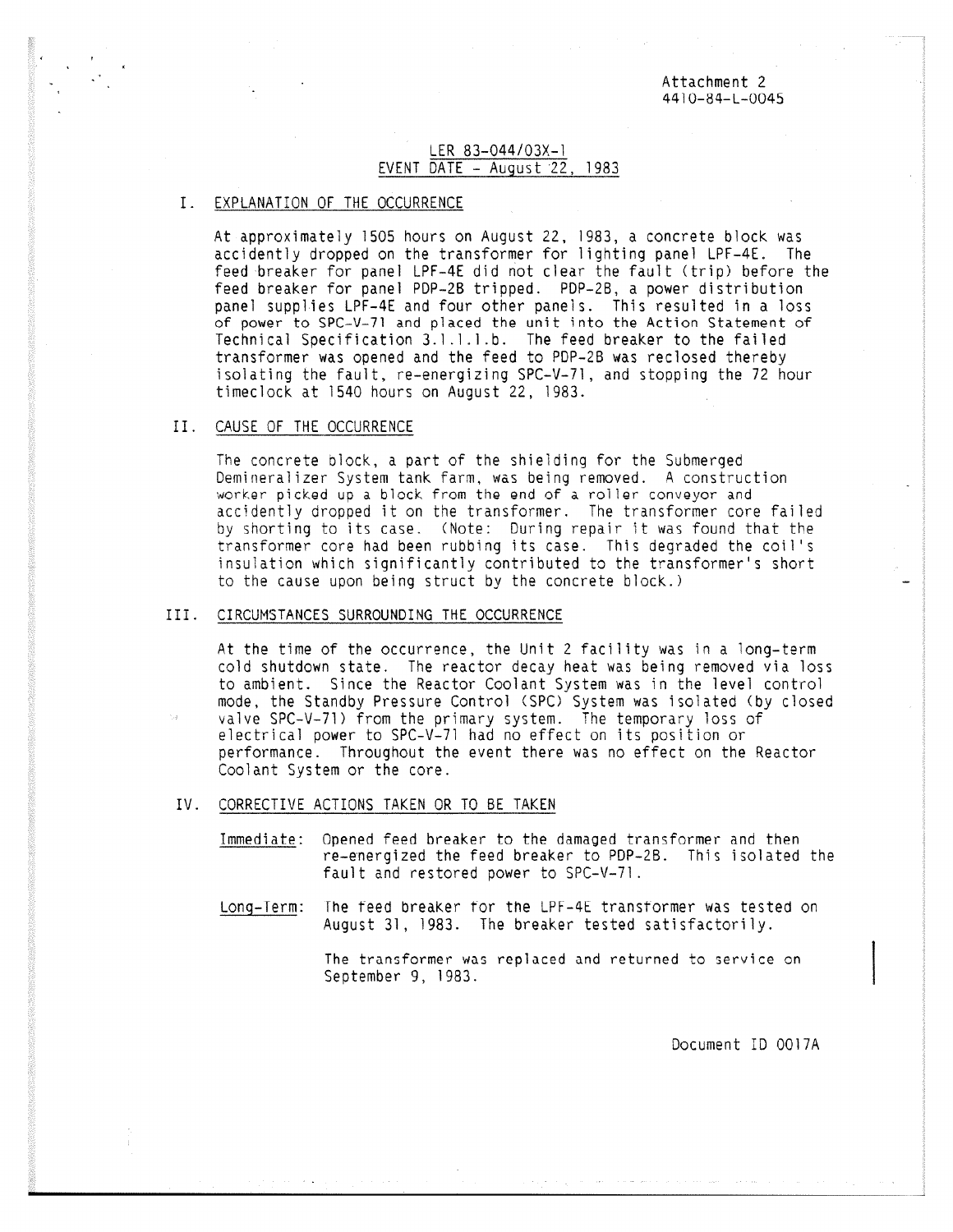Attachment 2 4410-84-L-0045

## LER 83-044/03X-1 EVENT DATE  $-$  August 22, 1983

## I. EXPLANATION OF THE OCCURRENCE

At approximately 1505 hours on August 22, 1983, a concrete block was accidently dropped on the transformer for lighting panel LPF-4E. The feed breaker for panel LPF-4E did not clear the fault (trip) before the feed breaker for panel PDP-2B tripped. PDP-2B, a power distribution panel supplies LPF-4E and four other panels. This resulted in a loss of power to SPC-V-71 and placed the unit into the Action Statement of Technical Specification 3.1.1.1.b. The feed breaker to the failed transformer was opened and the feed to POP-213 was reclosed thereby isolating the fault, re-energizing SPC-V-71, and stopping the 72 hour timeclock at 1540 hours on August 22, 1983.

#### II. CAUSE OF THE OCCURRENCE

The concrete block, a part of the shielding for the Submerged Demineralizer System tank farm, was being removed. A construction worker picked up a block from the end of a roller conveyor and accidently dropped it on the transformer. The transformer core failed by shorting to its case. (Note: During repair it was found that the transformer core had been rubbing its case. This degraded the coil's insulation which significantly contributed to the transformer's short to the cause upon being struct by the concrete block.)

### III. CIRCUMSTANCES SURROUNDING THE OCCURRENCE

At the time of the occurrence, the Unit 2 facility was in a long-term cold shutdown state. The reactor decay heat was being removed via loss to ambient. Since the Reactor Coolant System was in the level control mode, the Standby Pressure Control (SPC) System was isolated (by closed valve SPC-V-71) from the primary system. The temporary loss of electrical power to SPC-V-71 had no effect on its position or performance. Throughout the event there was no effect on the Reactor Coolant System or the core.

- IV. CORRECTIVE ACTIONS TAKEN OR TO BE TAKEN
	- Immediate: Opened feed breaker to the damaged transformer and then re-energized the feed breaker to POP-28. This isolated the fault and restored power to SPC-V-71.
	- Long-Term: The teed breaker for the LPF-4E transformer was tested on August 31, 1983. The breaker tested satisfactorily.

The transformer was replaced and returned to service on September 9, 1983.

Document ID 0017A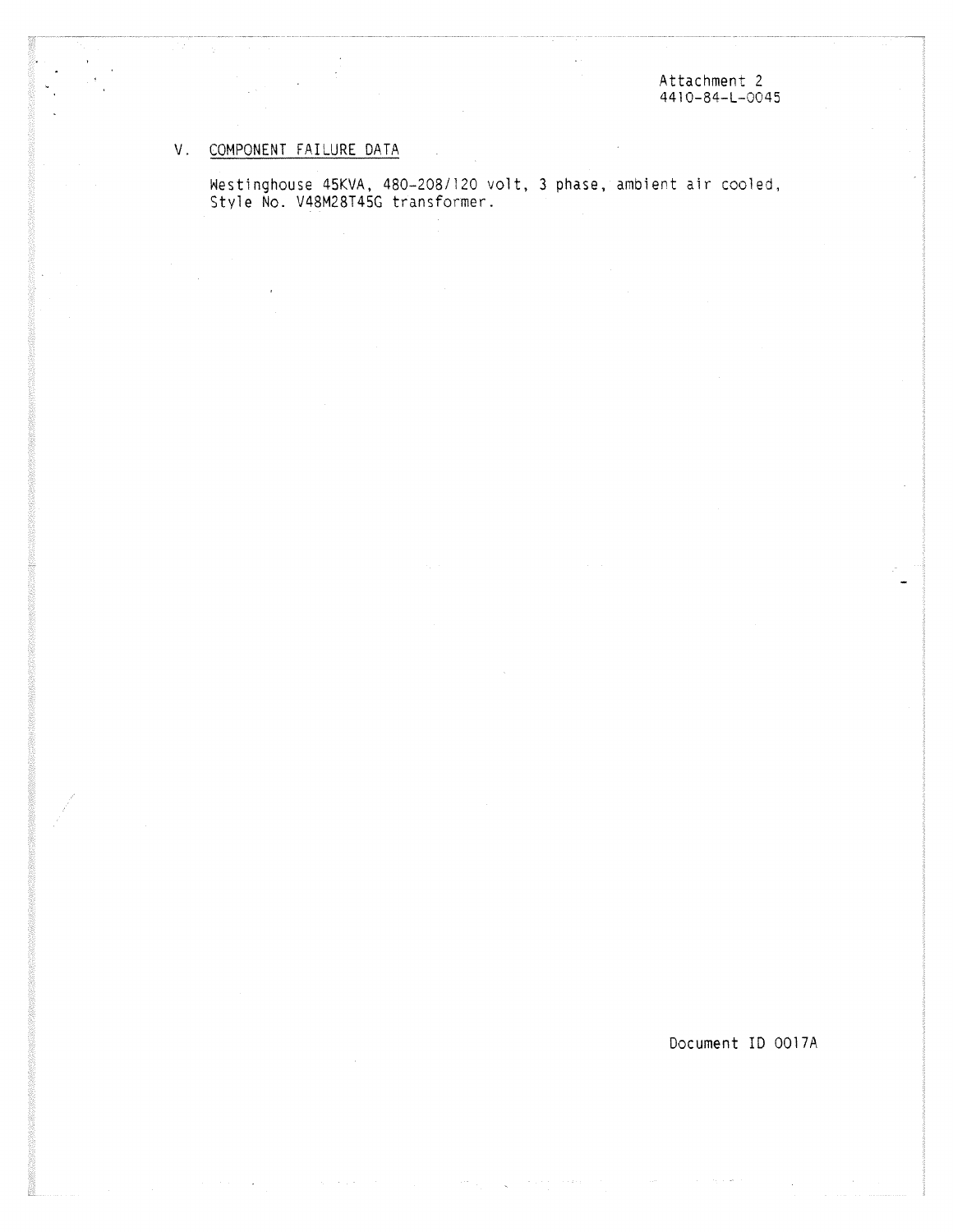# V. COMPONENT FAILURE DATA

Westinghouse 45KVA, 480-208/120 volt, 3 phase, ambient air cooled, Style No. V48M28T45G transformer.

Document ID 0017A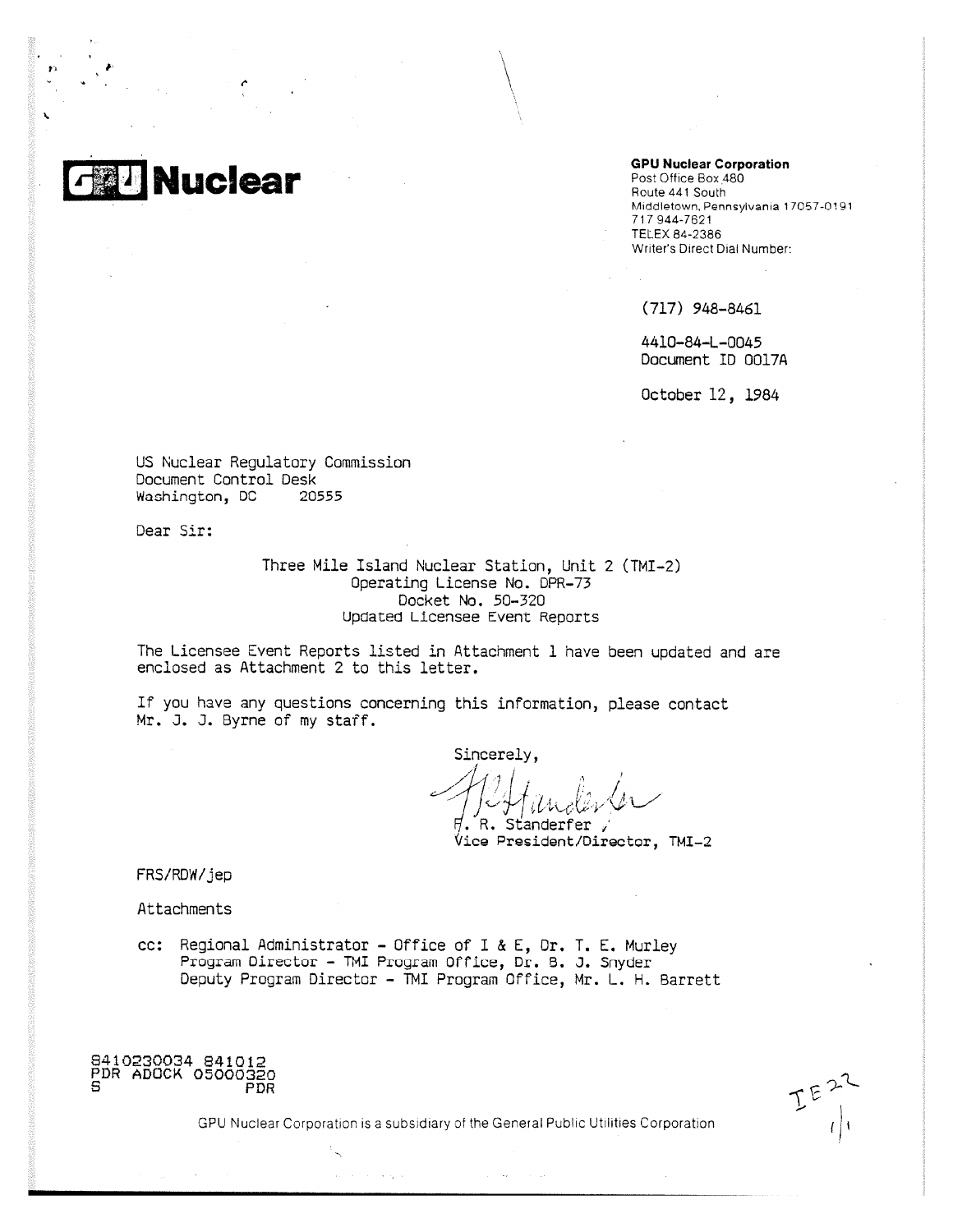**Nuclear** 

#### **GPU Nuclear Corporation**

Post Office Box 480 Route 441 South Middletown, Pennsylvania 17057-0191 717 944-7621 TELEX 84-2386 Writer's Direct Dial Number:

(717) 948-8461

4410-84-L-0045 Document ID 0017A

October 12, 1984

US Nuclear Regulatory Commission Document Control Desk<br>Washington, DC 20555 Washington, DC

Dear Sir:

Three Mile Island Nuclear Station, Unit 2 (TMI-2) Operating License No. DPR-73 Docket No. 50-320 Updated Licensee Event Reports

The Licensee Event Reports listed in Attachment 1 have been updated and are enclosed as Attachment 2 to this letter.

If you have any questions concerning this information, please contact Mr. J. J. Byrne of my staff.

Sincerely,  $/ \sqrt{4}$  $\sum_{i=1}^{n}$ , Standerfer  $\mathcal{U}_4$  ,  $\mathcal{U}_2$ 

Vice President/Director, TMI-2

FRS/RDW/jep

Attachments

cc: Regional Administrator - Office of I & E, Dr, T. E. Murley Program Director - TMI Program Office, Dr. B. J. Snyder Deputy Program Director - TMI Program Office, Mr. L. H. Barrett

8410230034 841012 PDR ADOCK 05000320 PDR

 $E^{E}$ 

GPU Nuclear Corporation is a subsidiary of the General Public Utilities Corporation

 $\alpha_{\rm{max}}(\lambda_{\rm{max}})$  and  $\alpha_{\rm{max}}(\lambda_{\rm{max}})$